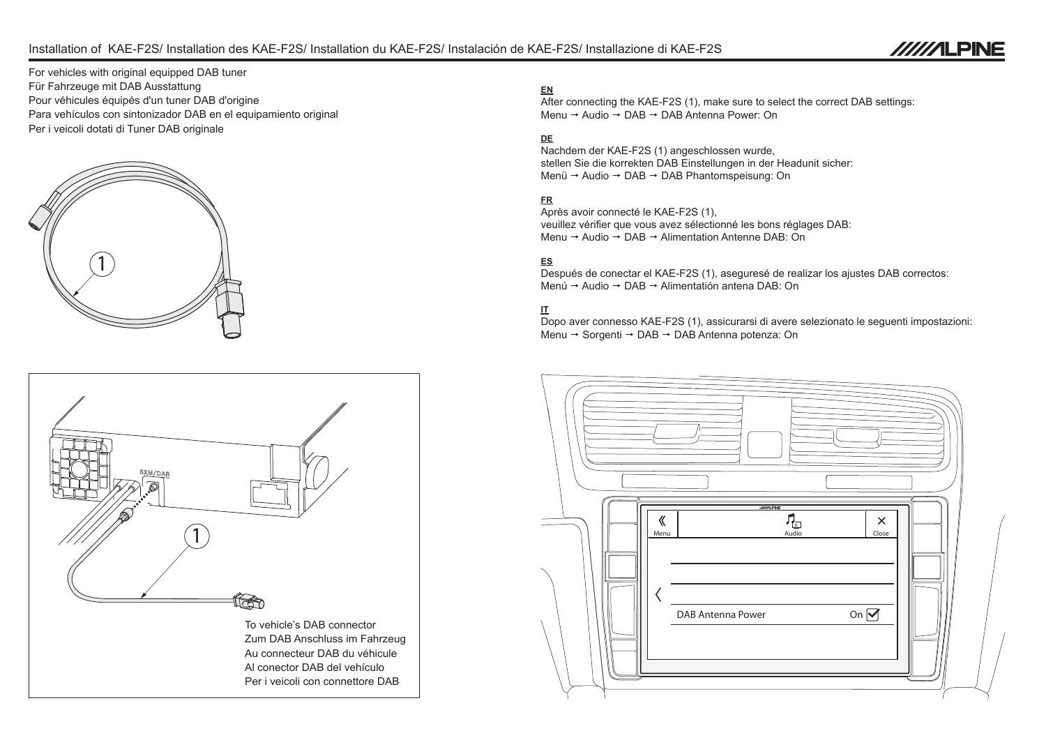# Installation of KAE-F2S/ Installation des KAE-F2S/ Installation du KAE-F2S/ Instalación de KAE-F2S/ Installazione di KAE-F2S



For vehicles with original equipped DAB tuner Für Fahrzeuge mit DAB Ausstattung Pour véhicules équipés d'un tuner DAB d'origine Para vehículos con sintonizador DAB en el equipamiento original Per i veicoli dotati di Tuner DAB originale





## **EN**

After connecting the KAE-F2S (1), make sure to select the correct DAB settings: Menu  $\rightarrow$  Audio  $\rightarrow$  DAB  $\rightarrow$  DAB Antenna Power: On

# **DE**

Nachdem der KAE-F2S (1) angeschlossen wurde, stellen Sie die korrekten DAB Einstellungen in der Headunit sicher: Menü → Audio → DAB → DAB Phantomspeisung: On

# **FR**

Après avoir connecté le KAE-F2S (1), veuillez vérifier que vous avez sélectionné les bons réglages DAB: Menu  $\rightarrow$  Audio  $\rightarrow$  DAB  $\rightarrow$  Alimentation Antenne DAB: On

## **ES**

Después de conectar el KAE-F2S (1), aseguresé de realizar los ajustes DAB correctos: Menú → Audio → DAB → Alimentatión antena DAB: On

## **IT**

Dopo aver connesso KAE-F2S (1), assicurarsi di avere selezionato le seguenti impostazioni: Menu → Sorgenti → DAB → DAB Antenna potenza: On